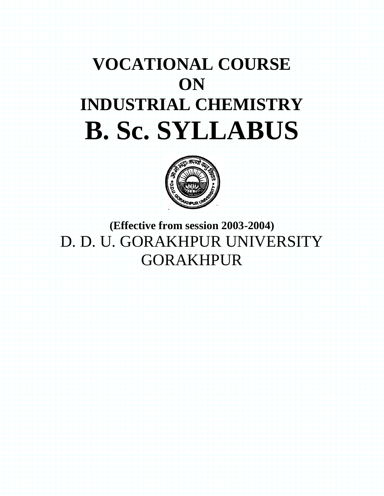# **VOCATIONAL COURSE ON INDUSTRIAL CHEMISTRY B. Sc. SYLLABUS**



**(Effective from session 2003-2004)** D. D. U. GORAKHPUR UNIVERSITY GORAKHPUR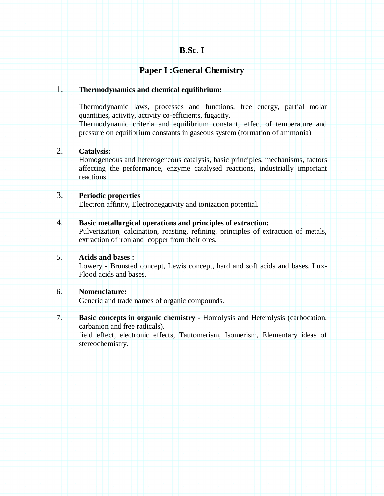## **B.Sc. I**

## **Paper I :General Chemistry**

#### 1. **Thermodynamics and chemical equilibrium:**

Thermodynamic laws, processes and functions, free energy, partial molar quantities, activity, activity co-efficients, fugacity.

Thermodynamic criteria and equilibrium constant, effect of temperature and pressure on equilibrium constants in gaseous system (formation of ammonia).

#### 2. **Catalysis:**

Homogeneous and heterogeneous catalysis, basic principles, mechanisms, factors affecting the performance, enzyme catalysed reactions, industrially important reactions.

#### 3. **Periodic properties**

Electron affinity, Electronegativity and ionization potential.

#### 4. **Basic metallurgical operations and principles of extraction:**

Pulverization, calcination, roasting, refining, principles of extraction of metals, extraction of iron and copper from their ores.

#### 5. **Acids and bases :**

Lowery - Bronsted concept, Lewis concept, hard and soft acids and bases, Lux-Flood acids and bases.

#### 6. **Nomenclature:**

Generic and trade names of organic compounds.

7. **Basic concepts in organic chemistry** - Homolysis and Heterolysis (carbocation, carbanion and free radicals).

field effect, electronic effects, Tautomerism, Isomerism, Elementary ideas of stereochemistry.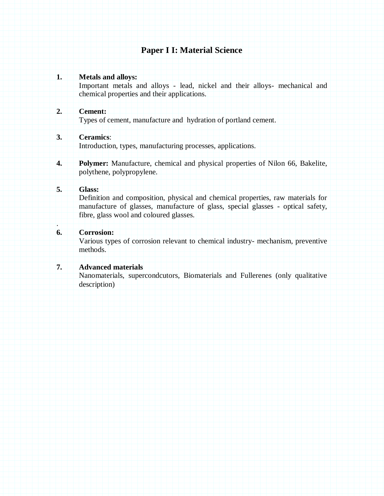## **Paper I I: Material Science**

#### **1. Metals and alloys:**

Important metals and alloys - lead, nickel and their alloys- mechanical and chemical properties and their applications.

#### **2. Cement:**

Types of cement, manufacture and hydration of portland cement.

#### **3. Ceramics**:

Introduction, types, manufacturing processes, applications.

**4. Polymer:** Manufacture, chemical and physical properties of Nilon 66, Bakelite, polythene, polypropylene.

#### **5. Glass:**

.

Definition and composition, physical and chemical properties, raw materials for manufacture of glasses, manufacture of glass, special glasses - optical safety, fibre, glass wool and coloured glasses.

#### **6. Corrosion:**

Various types of corrosion relevant to chemical industry- mechanism, preventive methods.

#### **7. Advanced materials**

Nanomaterials, supercondcutors, Biomaterials and Fullerenes (only qualitative description)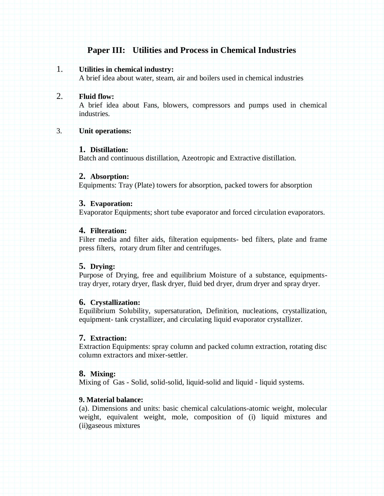# **Paper III: Utilities and Process in Chemical Industries**

## 1. **Utilities in chemical industry:**

A brief idea about water, steam, air and boilers used in chemical industries

#### 2. **Fluid flow:**

A brief idea about Fans, blowers, compressors and pumps used in chemical industries.

#### 3. **Unit operations:**

#### **1. Distillation:**

Batch and continuous distillation, Azeotropic and Extractive distillation.

#### **2. Absorption:**

Equipments: Tray (Plate) towers for absorption, packed towers for absorption

#### **3. Evaporation:**

Evaporator Equipments; short tube evaporator and forced circulation evaporators.

#### **4. Filteration:**

Filter media and filter aids, filteration equipments- bed filters, plate and frame press filters, rotary drum filter and centrifuges.

#### **5. Drying:**

Purpose of Drying, free and equilibrium Moisture of a substance, equipmentstray dryer, rotary dryer, flask dryer, fluid bed dryer, drum dryer and spray dryer.

#### **6. Crystallization:**

Equilibrium Solubility, supersaturation, Definition, nucleations, crystallization, equipment- tank crystallizer, and circulating liquid evaporator crystallizer.

#### **7. Extraction:**

Extraction Equipments: spray column and packed column extraction, rotating disc column extractors and mixer-settler.

#### **8. Mixing:**

Mixing of Gas - Solid, solid-solid, liquid-solid and liquid - liquid systems.

## **9. Material balance:**

(a). Dimensions and units: basic chemical calculations-atomic weight, molecular weight, equivalent weight, mole, composition of (i) liquid mixtures and (ii)gaseous mixtures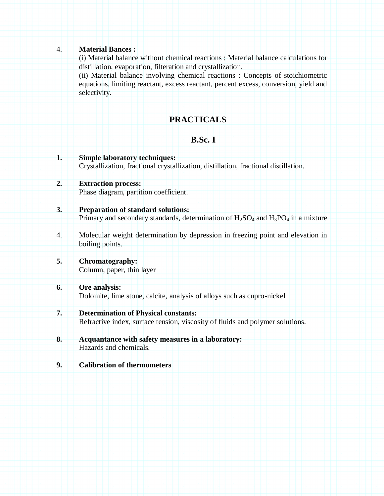#### 4. **Material Bances :**

(i) Material balance without chemical reactions : Material balance calculations for distillation, evaporation, filteration and crystallization.

(ii) Material balance involving chemical reactions : Concepts of stoichiometric equations, limiting reactant, excess reactant, percent excess, conversion, yield and selectivity.

# **PRACTICALS**

# **B.Sc. I**

- **1. Simple laboratory techniques:** Crystallization, fractional crystallization, distillation, fractional distillation. **2. Extraction process:** Phase diagram, partition coefficient. **3. Preparation of standard solutions:** Primary and secondary standards, determination of  $H_2SO_4$  and  $H_3PO_4$  in a mixture 4. Molecular weight determination by depression in freezing point and elevation in boiling points. **5. Chromatography:** Column, paper, thin layer **6. Ore analysis:** Dolomite, lime stone, calcite, analysis of alloys such as cupro-nickel **7. Determination of Physical constants:** Refractive index, surface tension, viscosity of fluids and polymer solutions.
- **8. Acquantance with safety measures in a laboratory:** Hazards and chemicals.
- **9. Calibration of thermometers**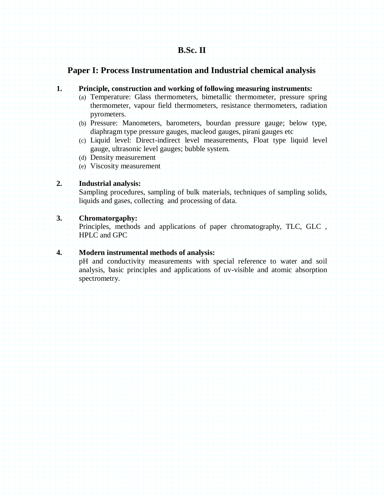## **Paper I: Process Instrumentation and Industrial chemical analysis**

#### **1. Principle, construction and working of following measuring instruments:**

- (a) Temperature: Glass thermometers, bimetallic thermometer, pressure spring thermometer, vapour field thermometers, resistance thermometers, radiation pyrometers.
- (b) Pressure: Manometers, barometers, bourdan pressure gauge; below type, diaphragm type pressure gauges, macleod gauges, pirani gauges etc
- (c) Liquid level: Direct-indirect level measurements, Float type liquid level gauge, ultrasonic level gauges; bubble system.
- (d) Density measurement
- (e) Viscosity measurement

#### **2. Industrial analysis:**

Sampling procedures, sampling of bulk materials, techniques of sampling solids, liquids and gases, collecting and processing of data.

## **3. Chromatorgaphy:**

Principles, methods and applications of paper chromatography, TLC, GLC , HPLC and GPC

#### **4. Modern instrumental methods of analysis:**

pH and conductivity measurements with special reference to water and soil analysis, basic principles and applications of uv-visible and atomic absorption spectrometry.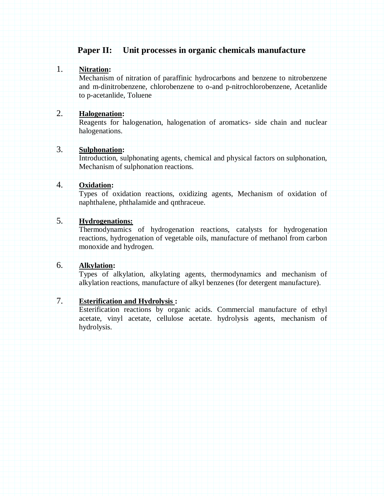## **Paper II: Unit processes in organic chemicals manufacture**

### 1. **Nitration:**

Mechanism of nitration of paraffinic hydrocarbons and benzene to nitrobenzene and m-dinitrobenzene, chlorobenzene to o-and p-nitrochlorobenzene, Acetanlide to p-acetanlide, Toluene

### 2. **Halogenation:**

Reagents for halogenation, halogenation of aromatics- side chain and nuclear halogenations.

## 3. **Sulphonation:**

Introduction, sulphonating agents, chemical and physical factors on sulphonation, Mechanism of sulphonation reactions.

## 4. **Oxidation:**

Types of oxidation reactions, oxidizing agents, Mechanism of oxidation of naphthalene, phthalamide and qnthraceue.

## 5. **Hydrogenations:**

Thermodynamics of hydrogenation reactions, catalysts for hydrogenation reactions, hydrogenation of vegetable oils, manufacture of methanol from carbon monoxide and hydrogen.

## 6. **Alkylation:**

Types of alkylation, alkylating agents, thermodynamics and mechanism of alkylation reactions, manufacture of alkyl benzenes (for detergent manufacture).

## 7. **Esterification and Hydrolysis :**

Esterification reactions by organic acids. Commercial manufacture of ethyl acetate, vinyl acetate, cellulose acetate. hydrolysis agents, mechanism of hydrolysis.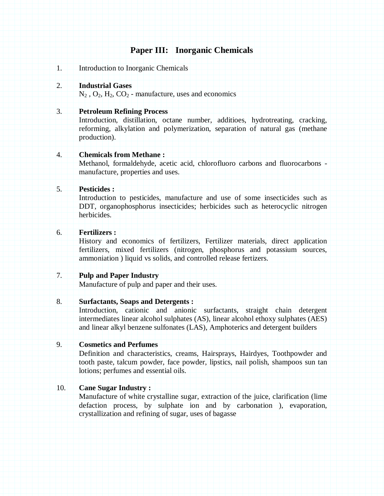## **Paper III: Inorganic Chemicals**

1. Introduction to Inorganic Chemicals

#### 2. **Industrial Gases**

 $N_2$ ,  $O_2$ ,  $H_2$ ,  $CO_2$  - manufacture, uses and economics

#### 3. **Petroleum Refining Process**

Introduction, distillation, octane number, additioes, hydrotreating, cracking, reforming, alkylation and polymerization, separation of natural gas (methane production).

#### 4. **Chemicals from Methane :**

Methanol, formaldehyde, acetic acid, chlorofluoro carbons and fluorocarbons manufacture, properties and uses.

#### 5. **Pesticides :**

Introduction to pesticides, manufacture and use of some insecticides such as DDT, organophosphorus insecticides; herbicides such as heterocyclic nitrogen herbicides.

## 6. **Fertilizers :**

History and economics of fertilizers, Fertilizer materials, direct application fertilizers, mixed fertilizers (nitrogen, phosphorus and potassium sources, ammoniation ) liquid vs solids, and controlled release fertizers.

#### 7. **Pulp and Paper Industry**

Manufacture of pulp and paper and their uses.

#### 8. **Surfactants, Soaps and Detergents :**

Introduction, cationic and anionic surfactants, straight chain detergent intermediates linear alcohol sulphates (AS), linear alcohol ethoxy sulphates (AES) and linear alkyl benzene sulfonates (LAS), Amphoterics and detergent builders

## 9. **Cosmetics and Perfumes**

Definition and characteristics, creams, Hairsprays, Hairdyes, Toothpowder and tooth paste, talcum powder, face powder, lipstics, nail polish, shampoos sun tan lotions; perfumes and essential oils.

#### 10. **Cane Sugar Industry :**

Manufacture of white crystalline sugar, extraction of the juice, clarification (lime defaction process, by sulphate ion and by carbonation ), evaporation, crystallization and refining of sugar, uses of bagasse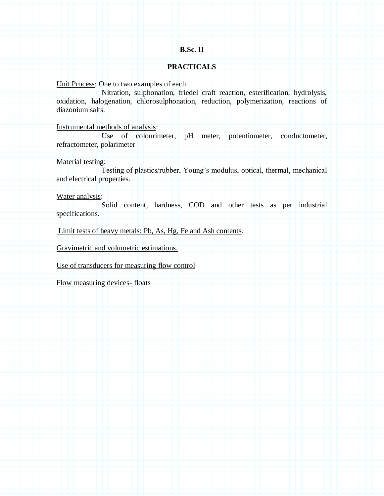#### **B.Sc. II**

#### **PRACTICALS**

Unit Process: One to two examples of each

Nitration, sulphonation, friedel craft reaction, esterification, hydrolysis, oxidation, halogenation, chlorosulphonation, reduction, polymerization, reactions of diazonium salts.

Instrumental methods of analysis:

Use of colourimeter, pH meter, potentiometer, conductometer, refractometer, polarimeter

Material testing:

Testing of plastics/rubber, Young's modulus, optical, thermal, mechanical and electrical properties.

Water analysis:

Solid content, hardness, COD and other tests as per industrial specifications.

Limit tests of heavy metals: Pb, As, Hg, Fe and Ash contents.

Gravimetric and volumetric estimations.

Use of transducers for measuring flow control

Flow measuring devices- floats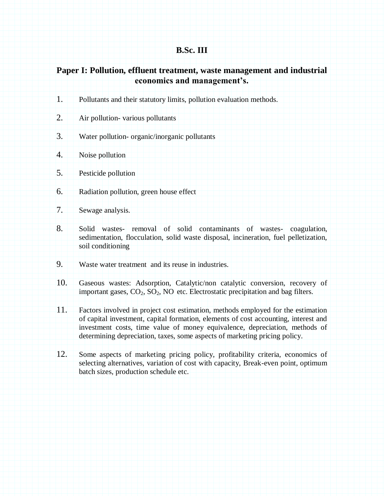# **B.Sc. III**

# **Paper I: Pollution, effluent treatment, waste management and industrial economics and management's.**

| 1.  | Pollutants and their statutory limits, pollution evaluation methods.                                                                                                                                                                                                                                                                 |
|-----|--------------------------------------------------------------------------------------------------------------------------------------------------------------------------------------------------------------------------------------------------------------------------------------------------------------------------------------|
| 2.  | Air pollution-various pollutants                                                                                                                                                                                                                                                                                                     |
| 3.  | Water pollution- organic/inorganic pollutants                                                                                                                                                                                                                                                                                        |
| 4.  | Noise pollution                                                                                                                                                                                                                                                                                                                      |
| 5.  | Pesticide pollution                                                                                                                                                                                                                                                                                                                  |
| 6.  | Radiation pollution, green house effect                                                                                                                                                                                                                                                                                              |
| 7.  | Sewage analysis.                                                                                                                                                                                                                                                                                                                     |
| 8.  | removal of solid contaminants of wastes-<br>Solid<br>coagulation,<br>wastes-<br>sedimentation, flocculation, solid waste disposal, incineration, fuel pelletization,<br>soil conditioning                                                                                                                                            |
| 9.  | Waste water treatment and its reuse in industries.                                                                                                                                                                                                                                                                                   |
| 10. | Gaseous wastes: Adsorption, Catalytic/non catalytic conversion, recovery of<br>important gases, CO <sub>2</sub> , SO <sub>2</sub> , NO etc. Electrostatic precipitation and bag filters.                                                                                                                                             |
| 11. | Factors involved in project cost estimation, methods employed for the estimation<br>of capital investment, capital formation, elements of cost accounting, interest and<br>investment costs, time value of money equivalence, depreciation, methods of<br>determining depreciation, taxes, some aspects of marketing pricing policy. |
| 12. | Some aspects of marketing pricing policy, profitability criteria, economics of<br>selecting alternatives, variation of cost with capacity, Break-even point, optimum<br>batch sizes, production schedule etc.                                                                                                                        |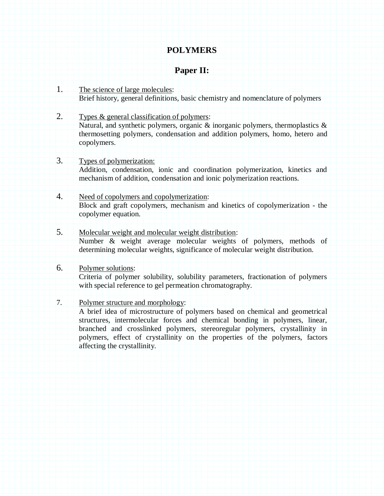# **POLYMERS**

# **Paper II:**

- 1. The science of large molecules: Brief history, general definitions, basic chemistry and nomenclature of polymers
- 2. Types & general classification of polymers: Natural, and synthetic polymers, organic  $\&$  inorganic polymers, thermoplastics  $\&$ thermosetting polymers, condensation and addition polymers, homo, hetero and copolymers.
- 3. Types of polymerization: Addition, condensation, ionic and coordination polymerization, kinetics and mechanism of addition, condensation and ionic polymerization reactions.
- 4. Need of copolymers and copolymerization: Block and graft copolymers, mechanism and kinetics of copolymerization - the copolymer equation.
- 5. Molecular weight and molecular weight distribution: Number & weight average molecular weights of polymers, methods of determining molecular weights, significance of molecular weight distribution.

## 6. Polymer solutions: Criteria of polymer solubility, solubility parameters, fractionation of polymers with special reference to gel permeation chromatography.

7. Polymer structure and morphology:

A brief idea of microstructure of polymers based on chemical and geometrical structures, intermolecular forces and chemical bonding in polymers, linear, branched and crosslinked polymers, stereoregular polymers, crystallinity in polymers, effect of crystallinity on the properties of the polymers, factors affecting the crystallinity.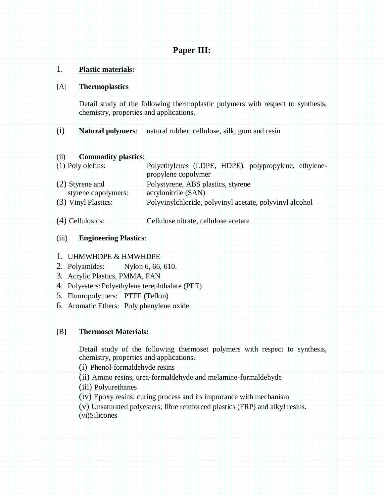## **Paper III:**

## 1. **Plastic materials:**

#### [A] **Thermoplastics**

Detail study of the following thermoplastic polymers with respect to synthesis, chemistry, properties and applications.

(i) **Natural polymers**: natural rubber, cellulose, silk, gum and resin

#### (ii) **Commodity plastics**:

| $(1)$ Poly olefins:   | Polyethylenes (LDPE, HDPE), polypropylene, ethylene-    |
|-----------------------|---------------------------------------------------------|
|                       | propylene copolymer                                     |
| $(2)$ Styrene and     | Polystyrene, ABS plastics, styrene                      |
| styrene copolymers:   | acrylonitrile (SAN)                                     |
| $(3)$ Vinyl Plastics: | Polyvinylchloride, polyvinyl acetate, polyvinyl alcohol |
|                       |                                                         |

(4) Cellulosics: Cellulose nitrate, cellulose acetate

## (iii) **Engineering Plastics**:

#### 1. UHMWHDPE & HMWHDPE

- 2. Polyamides: Nylon 6, 66, 610.
- 3. Acrylic Plastics, PMMA, PAN
- 4. Polyesters:Polyethylene terephthalate (PET)
- 5. Fluoropolymers: PTFE (Teflon)
- 6. Aromatic Ethers: Poly phenylene oxide

#### [B] **Thermoset Materials:**

Detail study of the following thermoset polymers with respect to synthesis, chemistry, properties and applications.

- (i) Phenol-formaldehyde resins
- (ii) Amino resins, urea-formaldehyde and melamine-formaldehyde
- (iii) Polyurethanes
- (iv) Epoxy resins: curing process and its importance with mechanism
- (v) Unsaturated polyesters; fibre reinforced plastics (FRP) and alkyl resins.
- (vi)Silicones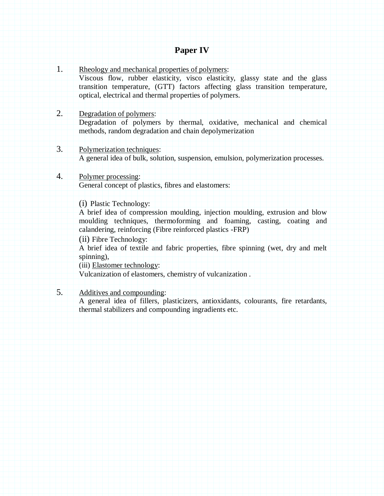## **Paper IV**

1. Rheology and mechanical properties of polymers: Viscous flow, rubber elasticity, visco elasticity, glassy state and the glass transition temperature, (GTT) factors affecting glass transition temperature, optical, electrical and thermal properties of polymers.

#### 2. Degradation of polymers:

Degradation of polymers by thermal, oxidative, mechanical and chemical methods, random degradation and chain depolymerization

- 3. Polymerization techniques: A general idea of bulk, solution, suspension, emulsion, polymerization processes.
- 4. Polymer processing: General concept of plastics, fibres and elastomers:

(i) Plastic Technology:

A brief idea of compression moulding, injection moulding, extrusion and blow moulding techniques, thermoforming and foaming, casting, coating and calandering, reinforcing (Fibre reinforced plastics -FRP)

(ii) Fibre Technology:

A brief idea of textile and fabric properties, fibre spinning (wet, dry and melt spinning),

(iii) Elastomer technology:

Vulcanization of elastomers, chemistry of vulcanization .

5. Additives and compounding:

A general idea of fillers, plasticizers, antioxidants, colourants, fire retardants, thermal stabilizers and compounding ingradients etc.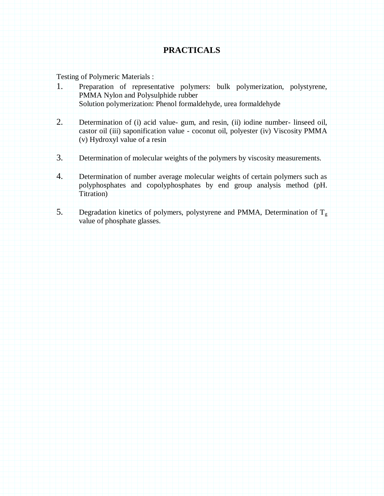# **PRACTICALS**

Testing of Polymeric Materials :

- 1. Preparation of representative polymers: bulk polymerization, polystyrene, PMMA Nylon and Polysulphide rubber Solution polymerization: Phenol formaldehyde, urea formaldehyde
- 2. Determination of (i) acid value- gum, and resin, (ii) iodine number- linseed oil, castor oil (iii) saponification value - coconut oil, polyester (iv) Viscosity PMMA (v) Hydroxyl value of a resin
- 3. Determination of molecular weights of the polymers by viscosity measurements.
- 4. Determination of number average molecular weights of certain polymers such as polyphosphates and copolyphosphates by end group analysis method (pH. Titration)
- 5. Degradation kinetics of polymers, polystyrene and PMMA, Determination of  $T_g$ value of phosphate glasses.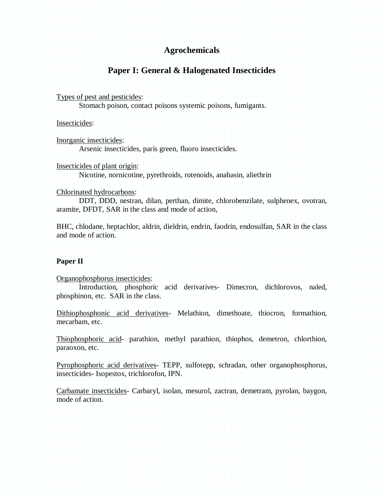## **Agrochemicals**

## **Paper I: General & Halogenated Insecticides**

Types of pest and pesticides:

Stomach poison, contact poisons systemic poisons, fumigants.

Insecticides:

Inorganic insecticides:

Arsenic insecticides, paris green, fluoro insecticides.

Insecticides of plant origin:

Nicotine, nornicotine, pyrethroids, rotenoids, anabasin, aliethrin

#### Chlorinated hydrocarbons:

DDT, DDD, nestran, dilan, perthan, dimite, chlorobenzilate, sulphenex, ovotran, aramite, DFDT, SAR in the class and mode of action,

BHC, chlodane, heptachlor, aldrin, dieldrin, endrin, faodrin, endosulfan, SAR in the class and mode of action.

#### **Paper II**

Organophosphorus insecticides:

Introduction, phosphoric acid derivatives- Dimecron, dichlorovos, naled, phosphinon, etc. SAR in the class.

Dithiophosphonic acid derivatives- Melathion, dimethoate, thiocron, formathion, mecarbam, etc.

Thiophosphoric acid- parathion, methyl parathion, thiophos, demetron, chlorthion, paraoxon, etc.

Pyrophosphoric acid derivatives- TEPP, sulfotepp, schradan, other organophosphorus, insecticides- Isopestox, trichlorofon, IPN.

Carbamate insecticides- Carbaryl, isolan, mesurol, zactran, demetram, pyrolan, baygon, mode of action.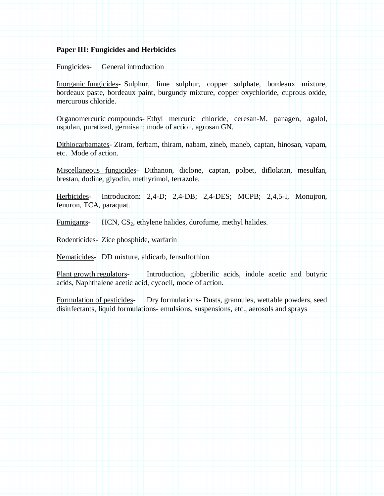#### **Paper III: Fungicides and Herbicides**

#### Fungicides- General introduction

Inorganic fungicides- Sulphur, lime sulphur, copper sulphate, bordeaux mixture, bordeaux paste, bordeaux paint, burgundy mixture, copper oxychloride, cuprous oxide, mercurous chloride.

Organomercuric compounds- Ethyl mercuric chloride, ceresan-M, panagen, agalol, uspulan, puratized, germisan; mode of action, agrosan GN.

Dithiocarbamates- Ziram, ferbam, thiram, nabam, zineb, maneb, captan, hinosan, vapam, etc. Mode of action.

Miscellaneous fungicides- Dithanon, diclone, captan, polpet, diflolatan, mesulfan, brestan, dodine, glyodin, methyrimol, terrazole.

Herbicides- Introduciton: 2,4-D; 2,4-DB; 2,4-DES; MCPB; 2,4,5-I, Monujron, fenuron, TCA, paraquat.

Fumigants-  $HCN, CS<sub>2</sub>$ , ethylene halides, durofume, methyl halides.

Rodenticides- Zice phosphide, warfarin

Nematicides- DD mixture, aldicarb, fensulfothion

Plant growth regulators- Introduction, gibberilic acids, indole acetic and butyric acids, Naphthalene acetic acid, cycocil, mode of action.

Formulation of pesticides- Dry formulations- Dusts, grannules, wettable powders, seed disinfectants, liquid formulations- emulsions, suspensions, etc., aerosols and sprays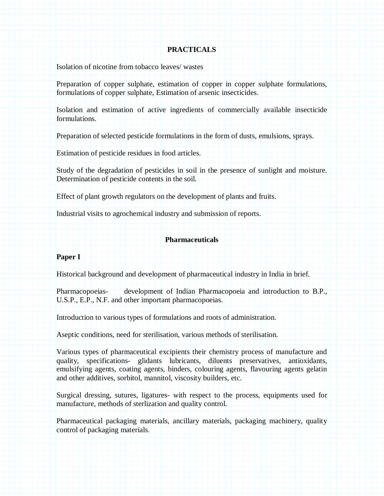#### **PRACTICALS**

Isolation of nicotine from tobacco leaves/ wastes

Preparation of copper sulphate, estimation of copper in copper sulphate formulations, formulations of copper sulphate, Estimation of arsenic insecticides.

Isolation and estimation of active ingredients of commercially available insecticide formulations.

Preparation of selected pesticide formulations in the form of dusts, emulsions, sprays.

Estimation of pesticide residues in food articles.

Study of the degradation of pesticides in soil in the presence of sunlight and moisture. Determination of pesticide contents in the soil.

Effect of plant growth regulators on the development of plants and fruits.

Industrial visits to agrochemical industry and submission of reports.

#### **Pharmaceuticals**

#### **Paper I**

Historical background and development of pharmaceutical industry in India in brief.

Pharmacopoeias- development of Indian Pharmacopoeia and introduction to B.P., U.S.P., E.P., N.F. and other important pharmacopoeias.

Introduction to various types of formulations and roots of administration.

Aseptic conditions, need for sterilisation, various methods of sterilisation.

Various types of pharmaceutical excipients their chemistry process of manufacture and quality, specifications- glidants lubricants, diluents preservatives, antioxidants, emulsifying agents, coating agents, binders, colouring agents, flavouring agents gelatin and other additives, sorbitol, mannitol, viscosity builders, etc.

Surgical dressing, sutures, ligatures- with respect to the process, equipments used for manufacture, methods of sterlization and quality control.

Pharmaceutical packaging materials, ancillary materials, packaging machinery, quality control of packaging materials.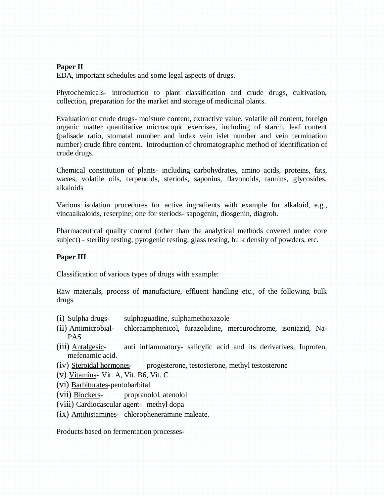#### **Paper II**

EDA, important schedules and some legal aspects of drugs.

Phytochemicals- introduction to plant classification and crude drugs, cultivation, collection, preparation for the market and storage of medicinal plants.

Evaluation of crude drugs- moisture content, extractive value, volatile oil content, foreign organic matter quantitative microscopic exercises, including of starch, leaf content (palisade ratio, stomatal number and index vein islet number and vein termination number) crude fibre content. Introduction of chromatographic method of identification of crude drugs.

Chemical constitution of plants- including carbohydrates, amino acids, proteins, fats, waxes, volatile oils, terpenoids, steriods, saponins, flavonoids, tannins, glycosides, alkaloids

Various isolation procedures for active ingradients with example for alkaloid, e.g., vincaalkaloids, reserpine; one for steriods- sapogenin, diosgenin, diagroh.

Pharmaceutical quality control (other than the analytical methods covered under core subject) - sterility testing, pyrogenic testing, glass testing, bulk density of powders, etc.

#### **Paper III**

Classification of various types of drugs with example:

Raw materials, process of manufacture, effluent handling etc., of the following bulk drugs

- $(i)$  Sulpha drugs- sulphaguadine, sulphamethoxazole
- (ii) Antimicrobial- chloraamphenicol, furazolidine, mercurochrome, isoniazid, Na-PAS
- (iii) Antalgesic- anti inflammatory- salicylic acid and its derivatives, Iuprofen, mefenamic acid.
- (iv) Steroidal hormones- progesterone, testosterone, methyl testosterone
- (v) Vitamins- Vit. A, Vit. B6, Vit. C
- (vi) Barbiturates-pentobarbital
- (vii) Blockers- propranolol, atenolol
- (viii) Cardiocascular agent- methyl dopa
- (ix) Antihistamines- chloropheneramine maleate.

Products based on fermentation processes-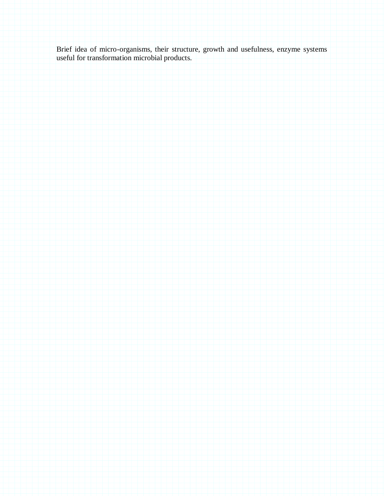Brief idea of micro-organisms, their structure, growth and usefulness, enzyme systems useful for transformation microbial products.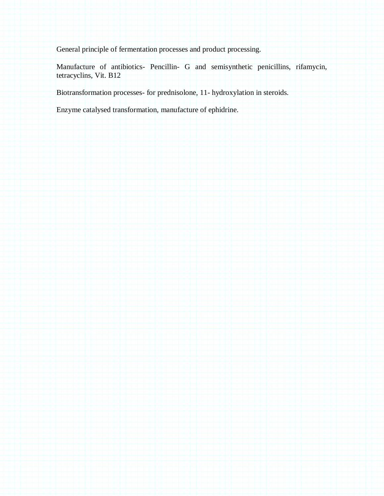General principle of fermentation processes and product processing.

Manufacture of antibiotics- Pencillin- G and semisynthetic penicillins, rifamycin, tetracyclins, Vit. B12

Biotransformation processes- for prednisolone, 11- hydroxylation in steroids.

Enzyme catalysed transformation, manufacture of ephidrine.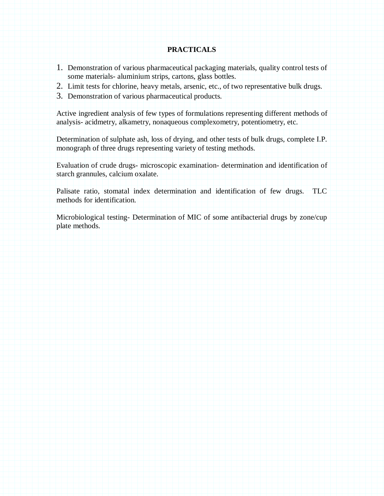#### **PRACTICALS**

- 1. Demonstration of various pharmaceutical packaging materials, quality control tests of some materials- aluminium strips, cartons, glass bottles.
- 2. Limit tests for chlorine, heavy metals, arsenic, etc., of two representative bulk drugs.
- 3. Demonstration of various pharmaceutical products.

Active ingredient analysis of few types of formulations representing different methods of analysis- acidmetry, alkametry, nonaqueous complexometry, potentiometry, etc.

Determination of sulphate ash, loss of drying, and other tests of bulk drugs, complete I.P. monograph of three drugs representing variety of testing methods.

Evaluation of crude drugs- microscopic examination- determination and identification of starch grannules, calcium oxalate.

Palisate ratio, stomatal index determination and identification of few drugs. TLC methods for identification.

Microbiological testing- Determination of MIC of some antibacterial drugs by zone/cup plate methods.